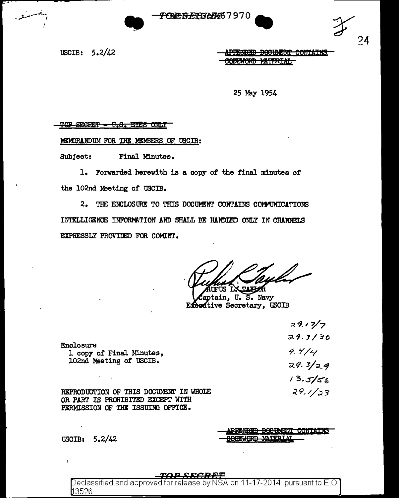



APPENDED DOCUMENT CONTAINS **MATERIAL** <del>odeword</del>

24

25 May 1954

TOP SECRET - U.S. EYES ONLY

MEMORANDUM FOR THE MEMBERS OF USCIB:

Subject: Final Minutes.

1. Forwarded herewith is a copy of the final minutes of the 102nd Meeting of USCIB.

2. THE ENCLOSURE TO THIS DOCUMENT CONTAINS COMMUNICATIONS INTELLIGENCE INFORMATION AND SHALL BE HANDLED ONLY IN CHANNELS EXPRESSLY PROVIDED FOR COMINT.

UFUS IX TAXHOR

aptain, U.S. Navy Executive Secretary, USCIB

|                                                                         | 29.17/7   |
|-------------------------------------------------------------------------|-----------|
|                                                                         | 29.3/30   |
| <b>Enclosure</b><br>1 copy of Final Minutes,<br>102nd Meeting of USCIB. | 9.414     |
|                                                                         | 29.3 / 29 |
| $\mathcal{L}^{\text{max}}$                                              | 13.5/56   |
| OF THIS DOCUMENT IN WHOLE<br><b>REPRODUCTION</b>                        | 29.1/23   |

OR PART IS PROHIBITED EXCEPT WITH PERMISSION OF THE ISSUING OFFICE.

<del>PPENDED DOCUMENT CONTAINS</del>

USCIB:  $5.2/42$ 

 $\mathbf{r}$ 

#### ra e seceret

Declassified and approved for release by NSA on 11-17-2014 pursuant to E.O. <u> 13526</u>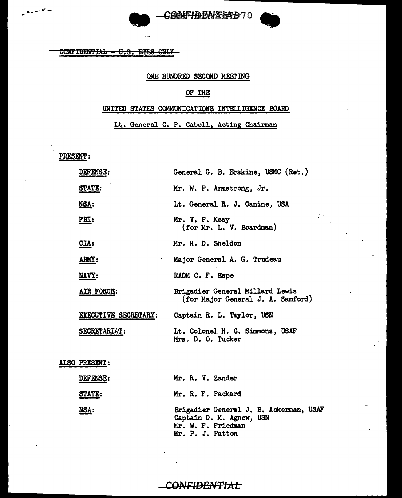

CONFIDENTIAL - U.S. EYES ONLY

### ONE HUNDRED SECOND MEETING

## OF THE

## UNITED STATES COMMUNICATIONS INTELLIGENCE BOARD

Lt. General C. P. Cabell, Acting Chairman

PRESENT:

..

| <b>DEFENSE:</b>             | General G. B. Erskine, USMC (Ret.)                                   |
|-----------------------------|----------------------------------------------------------------------|
| STATE:                      | Mr. W. P. Armstrong, Jr.                                             |
| NSA:                        | Lt. General R. J. Canine, USA                                        |
| <u>FBI:</u>                 | Mr. V. P. Keay<br>(for Mr. L. V. Boardman)                           |
| $CLA$ :                     | Mr. H. D. Sheldon                                                    |
| ARMY:                       | Major General A. G. Trudeau                                          |
| NAVY:                       | RADM C. F. Espe                                                      |
| AIR FORCE:                  | Brigadier General Millard Lewis<br>(for Major General J. A. Samford) |
| <b>EXECUTIVE SECRETARY:</b> | Captain R. L. Taylor, USN                                            |
| <b>SECRETARIAT:</b>         | Lt. Colonel H. C. Simmons, USAF<br>Mrs. D. O. Tucker                 |
|                             |                                                                      |

ALSO PRESENT :

| <b>DEFENSE:</b> | Mr. R. V. Zander                                                                                             |
|-----------------|--------------------------------------------------------------------------------------------------------------|
| <b>STATE:</b>   | Mr. R. F. Packard                                                                                            |
| <u>NSA:</u>     | Brigadier General J. B. Ackerman, USAF<br>Captain D. M. Agnew, USN<br>Mr. W. F. Friedman<br>Mr. P. J. Patton |

## CONFIDENTIAL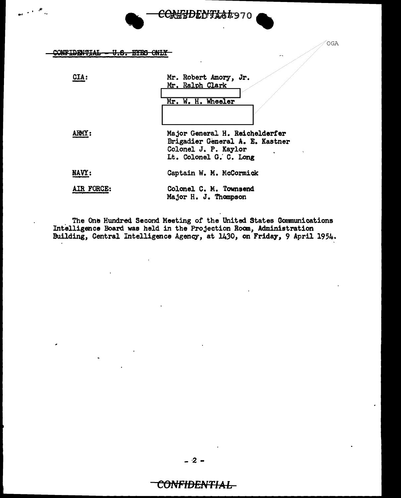#### CONFIDENTIAL -<del>U.S. ETES ONLY</del>

•.

| CIA:       | Mr. Robert Amory, Jr.<br>Mr. Ralph Clark<br>Mr. W. H. Wheeler                                                       |
|------------|---------------------------------------------------------------------------------------------------------------------|
|            |                                                                                                                     |
|            | Major General H. Reichelderfer<br>Brigadier General A. E. Kastner<br>Colonel J. P. Kaylor<br>Lt. Colonel G. C. Long |
| NAVY:      | Captain W. M. McCormick                                                                                             |
| AIR FORCE: | Colonel C. M. Townsend<br>Major H. J. Thompson                                                                      |

<del>COMNPENTX&</del>#970

**OGA** 

The One Hundred Second Meeting of the United States Communications Intelligence Board was held in the Projection Room, Administration Building, Central Intelligence Agency, at 1430, on Friday, 9 April 1954.

## CONFIDENTIAL-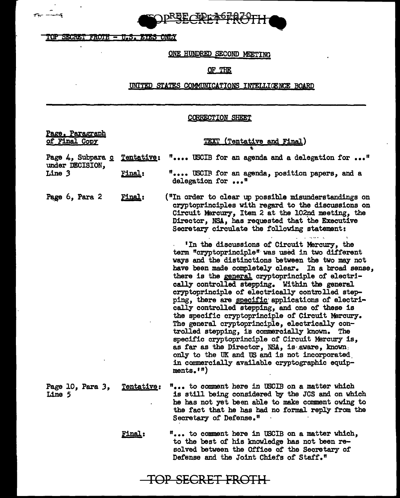

TOP SECRET FROTH - U.S. EYES ONLY

 $\sim$ 

 $\tau_{\rm w}$  . The  $\tau_{\rm w}$ 

۱.

 $\mathcal{A}$ 

## ONE HUNDRED SECOND MEETING

## OF THE

## UNITED STATES COMMUNICATIONS INTELLIGENCE BOARD

## CQRRECTION SHEET

| Page, Paragraph<br>of Final Copy                                |                                                                   | <b>TEXT (Tentative and Final)</b>                                                                                                                                                                                                                                                                                                                                                                                                                                                                                                                                                                                                                                                                                                                                                                                                                              |
|-----------------------------------------------------------------|-------------------------------------------------------------------|----------------------------------------------------------------------------------------------------------------------------------------------------------------------------------------------------------------------------------------------------------------------------------------------------------------------------------------------------------------------------------------------------------------------------------------------------------------------------------------------------------------------------------------------------------------------------------------------------------------------------------------------------------------------------------------------------------------------------------------------------------------------------------------------------------------------------------------------------------------|
| Page 4, Subpara c<br>under DECISION,<br>Line 3<br><u>Final:</u> | <u> Tentative:</u>                                                | " USCIB for an agenda and a delegation for "                                                                                                                                                                                                                                                                                                                                                                                                                                                                                                                                                                                                                                                                                                                                                                                                                   |
|                                                                 | " USCIR for an agenda, position papers, and a<br>delegation for " |                                                                                                                                                                                                                                                                                                                                                                                                                                                                                                                                                                                                                                                                                                                                                                                                                                                                |
| Page 6, Para 2                                                  | Final:                                                            | ("In order to clear up possible misunderstandings on<br>cryptoprinciples with regard to the discussions on<br>Circuit Mercury, Item 2 at the 102nd meeting, the<br>Director, NSA, has requested that the Executive<br>Secretary circulate the following statement:                                                                                                                                                                                                                                                                                                                                                                                                                                                                                                                                                                                             |
|                                                                 |                                                                   | 'In the discussions of Circuit Mercury, the<br>term "cryptoprinciple" was used in two different<br>ways and the distinctions between the two may not<br>have been made completely clear. In a broad sense,<br>there is the general cryptoprinciple of electri-<br>cally controlled stepping. Within the general<br>cryptoprinciple of electrically controlled step-<br>ping, there are specific applications of electri-<br>cally controlled stepping, and one of these is<br>the specific cryptoprinciple of Circuit Mercury.<br>The general cryptoprinciple, electrically con-<br>trolled stepping, is commercially known. The<br>specific cryptoprinciple of Circuit Mercury is,<br>as far as the Director, NSA, is aware, known,<br>only to the UK and US and is not incorporated<br>in commercially available cryptographic equip-<br>ments. $\mathbf{m}$ |
| Page 10, Para 3,<br>Line 5                                      | Tentative:                                                        | " to comment here in USCIB on a matter which<br>is still being considered by the JCS and on which<br>he has not yet been able to make comment owing to<br>the fact that he has had no formal reply from the<br>Secretary of Defense."                                                                                                                                                                                                                                                                                                                                                                                                                                                                                                                                                                                                                          |
|                                                                 | <b>Final:</b>                                                     | " to comment here in USCIB on a matter which,<br>to the best of his knowledge has not been re-<br>solved between the Office of the Secretary of<br>Defense and the Joint Chiefs of Staff."                                                                                                                                                                                                                                                                                                                                                                                                                                                                                                                                                                                                                                                                     |

TOP SECRET FRDTH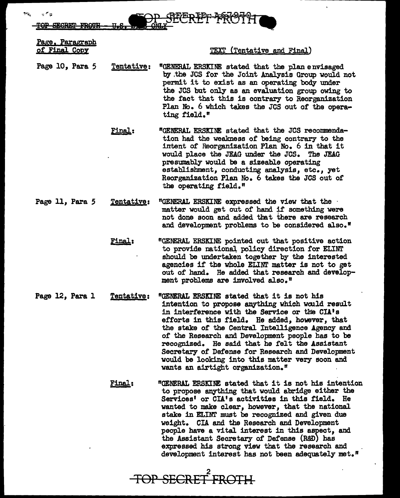**OP SEGRET** 

Page, Paragraph of Final Copx

ی جا یا

TEXT (Tentative and Final)

Page 10, Para *5*  Tentative: "GENERAL ERSKINE stated that the plan envisaged by .the JCS for the Joint Analysis Group would not permit it to exist as an operating body under the JCS but only as an evaluation group owing to the fact that this is contrary to Reorganization Plan No. 6 which takes the JCS out of the operating field."

> Final: "GENERAL ERSXINE stated that the JCS recommendation had the weakness of being contrary to the intent of Reorganization Plan No. 6 in that it would place the JEAG under the JCS. The JEAG presumably would be a sizeable operating establishment, conducting analysis, etc., yet Reorganization Plan No. 6 takes the JCS out of the operating field."

- Page 11, Para 5 Tentative: "GENERAL ERSKINE expressed the view that the matter would get out of hand if something were not done soon and added that there are research and development problems to be considered also.<sup>"</sup>
	- Final: "GENERAL ERSKINE pointed out that positive action to provide national policy direction for ELINT should be undertaken together by the interested agencies if the whole ELINT matter is not to get out of hand. He added that research and development problems are involved also."
- Page 12, Para 1 Tentative: "GENERAL ERSKINE stated that it is not his intention to propose anything which would result in interference with the Service or the CIA's efforts in this field. He added, however, that the stake of the Central Intelligence Agency and of the Research and Development people has to be recognized. He said that he felt the Assistant Secretary of Defense for Research and Development would be looking into this matter very soon and wants an airtight organization."
	- Final: "GENERAL ERSKINE stated that it is not his intention to propose anything that would abridge either the Services' or CIA's activities in this field. He wanted to make clear, however, that the national stake in EI.INT must be recognized and given due weight. CIA and the Research and Development people have a vital interest in this aspect, and the Assistant Secretary of Defense (R&D) has expressed his strong view that the research and development interest has not been adequately met."

2 TOP SECRET FROTH